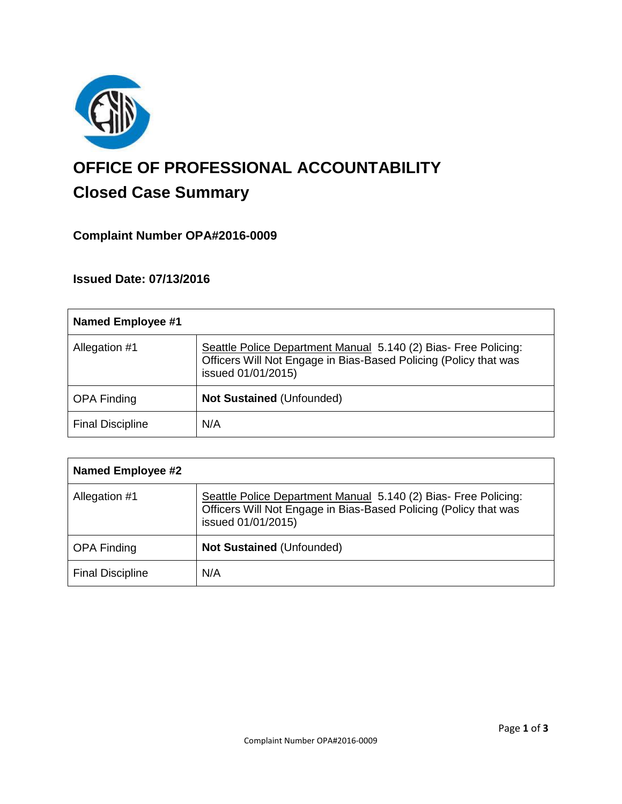

# **OFFICE OF PROFESSIONAL ACCOUNTABILITY Closed Case Summary**

## **Complaint Number OPA#2016-0009**

**Issued Date: 07/13/2016**

| Named Employee #1       |                                                                                                                                                           |
|-------------------------|-----------------------------------------------------------------------------------------------------------------------------------------------------------|
| Allegation #1           | Seattle Police Department Manual 5.140 (2) Bias- Free Policing:<br>Officers Will Not Engage in Bias-Based Policing (Policy that was<br>issued 01/01/2015) |
| <b>OPA Finding</b>      | <b>Not Sustained (Unfounded)</b>                                                                                                                          |
| <b>Final Discipline</b> | N/A                                                                                                                                                       |

| <b>Named Employee #2</b> |                                                                                                                                                           |
|--------------------------|-----------------------------------------------------------------------------------------------------------------------------------------------------------|
| Allegation #1            | Seattle Police Department Manual 5.140 (2) Bias- Free Policing:<br>Officers Will Not Engage in Bias-Based Policing (Policy that was<br>issued 01/01/2015) |
| <b>OPA Finding</b>       | <b>Not Sustained (Unfounded)</b>                                                                                                                          |
| <b>Final Discipline</b>  | N/A                                                                                                                                                       |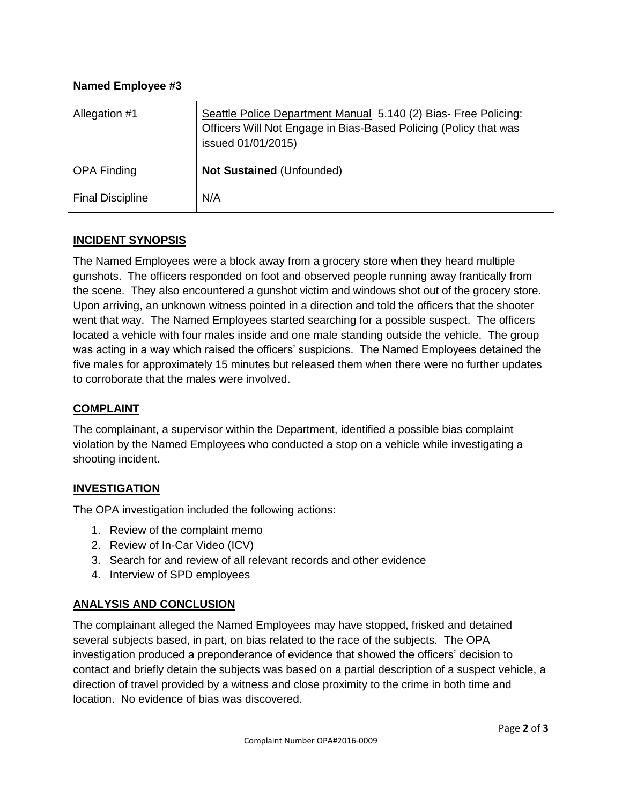| <b>Named Employee #3</b> |                                                                                                                                                           |
|--------------------------|-----------------------------------------------------------------------------------------------------------------------------------------------------------|
| Allegation #1            | Seattle Police Department Manual 5.140 (2) Bias- Free Policing:<br>Officers Will Not Engage in Bias-Based Policing (Policy that was<br>issued 01/01/2015) |
| <b>OPA Finding</b>       | <b>Not Sustained (Unfounded)</b>                                                                                                                          |
| <b>Final Discipline</b>  | N/A                                                                                                                                                       |

#### **INCIDENT SYNOPSIS**

The Named Employees were a block away from a grocery store when they heard multiple gunshots. The officers responded on foot and observed people running away frantically from the scene. They also encountered a gunshot victim and windows shot out of the grocery store. Upon arriving, an unknown witness pointed in a direction and told the officers that the shooter went that way. The Named Employees started searching for a possible suspect. The officers located a vehicle with four males inside and one male standing outside the vehicle. The group was acting in a way which raised the officers' suspicions. The Named Employees detained the five males for approximately 15 minutes but released them when there were no further updates to corroborate that the males were involved.

#### **COMPLAINT**

The complainant, a supervisor within the Department, identified a possible bias complaint violation by the Named Employees who conducted a stop on a vehicle while investigating a shooting incident.

#### **INVESTIGATION**

The OPA investigation included the following actions:

- 1. Review of the complaint memo
- 2. Review of In-Car Video (ICV)
- 3. Search for and review of all relevant records and other evidence
- 4. Interview of SPD employees

#### **ANALYSIS AND CONCLUSION**

The complainant alleged the Named Employees may have stopped, frisked and detained several subjects based, in part, on bias related to the race of the subjects. The OPA investigation produced a preponderance of evidence that showed the officers' decision to contact and briefly detain the subjects was based on a partial description of a suspect vehicle, a direction of travel provided by a witness and close proximity to the crime in both time and location. No evidence of bias was discovered.